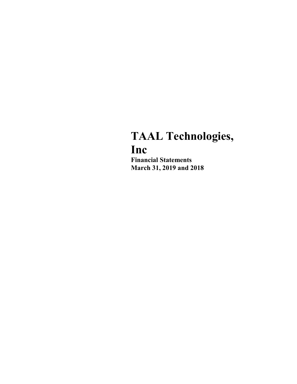# TAAL Technologies, Inc

Financial Statements March 31, 2019 and 2018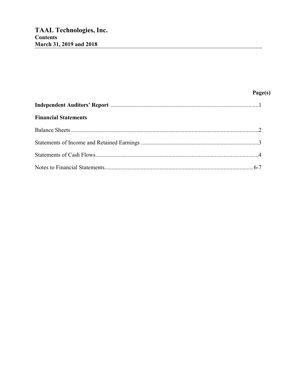| <b>Financial Statements</b> |  |
|-----------------------------|--|
|                             |  |
|                             |  |
|                             |  |
|                             |  |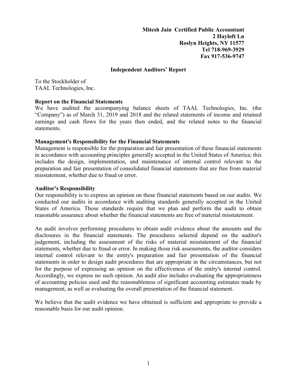Mitesh Jain Certified Public Accountant 2 Hayloft Ln Roslyn Heights, NY 11577 Tel 718-969-3929 Fax 917-536-9747

#### Independent Auditors' Report

To the Stockholder of TAAL Technologies, Inc.

#### Report on the Financial Statements

We have audited the accompanying balance sheets of TAAL Technologies, Inc. (the "Company") as of March 31, 2019 and 2018 and the related statements of income and retained earnings and cash flows for the years then ended, and the related notes to the financial statements.

#### Management's Responsibility for the Financial Statements

Management is responsible for the preparation and fair presentation of these financial statements in accordance with accounting principles generally accepted in the United States of America; this includes the design, implementation, and maintenance of internal control relevant to the preparation and fair presentation of consolidated financial statements that are free from material misstatement, whether due to fraud or error.

#### Auditor's Responsibility

Our responsibility is to express an opinion on these financial statements based on our audits. We conducted our audits in accordance with auditing standards generally accepted in the United States of America. Those standards require that we plan and perform the audit to obtain reasonable assurance about whether the financial statements are free of material misstatement.

An audit involves performing procedures to obtain audit evidence about the amounts and the disclosures in the financial statements. The procedures selected depend on the auditor's judgement, including the assessment of the risks of material misstatement of the financial statements, whether due to fraud or error. In making those risk assessments, the auditor considers internal control relevant to the entity's preparation and fair presentation of the financial statements in order to design audit procedures that are appropriate in the circumstances, but not for the purpose of expressing an opinion on the effectiveness of the entity's internal control. Accordingly, we express no such opinion. An audit also includes evaluating the appropriateness of accounting policies used and the reasonableness of significant accounting estimates made by management, as well as evaluating the overall presentation of the financial statement.

We believe that the audit evidence we have obtained is sufficient and appropriate to provide a reasonable basis for our audit opinion.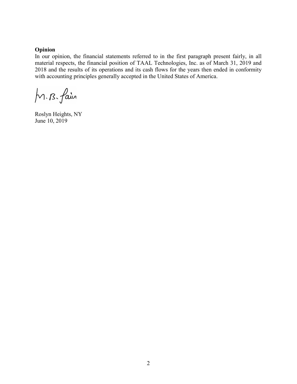### Opinion

In our opinion, the financial statements referred to in the first paragraph present fairly, in all material respects, the financial position of TAAL Technologies, Inc. as of March 31, 2019 and 2018 and the results of its operations and its cash flows for the years then ended in conformity with accounting principles generally accepted in the United States of America.

M.B. fain

Roslyn Heights, NY June 10, 2019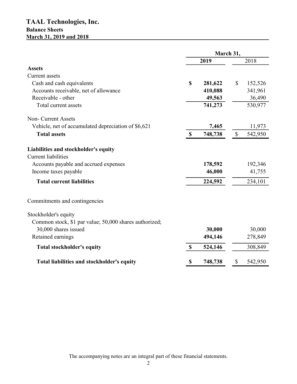|                                                                    | March 31,                 |         |              |         |
|--------------------------------------------------------------------|---------------------------|---------|--------------|---------|
|                                                                    |                           | 2019    |              | 2018    |
| <b>Assets</b>                                                      |                           |         |              |         |
| Current assets                                                     |                           |         |              |         |
| Cash and cash equivalents                                          | \$                        | 281,622 | $\mathbb{S}$ | 152,526 |
| Accounts receivable, net of allowance                              |                           | 410,088 |              | 341,961 |
| Receivable - other                                                 |                           | 49,563  |              | 36,490  |
| Total current assets                                               |                           | 741,273 |              | 530,977 |
| Non- Current Assets                                                |                           |         |              |         |
| Vehicle, net of accumulated depreciation of \$6,621                |                           | 7,465   |              | 11,973  |
| <b>Total assets</b>                                                | $\boldsymbol{\mathsf{S}}$ | 748,738 | $\mathbb S$  | 542,950 |
| Liabilities and stockholder's equity<br><b>Current liabilities</b> |                           |         |              |         |
|                                                                    |                           |         |              |         |
| Accounts payable and accrued expenses                              |                           | 178,592 |              | 192,346 |
| Income taxes payable                                               |                           | 46,000  |              | 41,755  |
| <b>Total current liabilities</b>                                   |                           | 224,592 |              | 234,101 |
| Commitments and contingencies                                      |                           |         |              |         |
| Stockholder's equity                                               |                           |         |              |         |
| Common stock, \$1 par value; 50,000 shares authorized;             |                           |         |              |         |
| 30,000 shares issued                                               |                           | 30,000  |              | 30,000  |
| Retained earnings                                                  |                           | 494,146 |              | 278,849 |
| <b>Total stockholder's equity</b>                                  | $\mathbf S$               | 524,146 |              | 308,849 |
| Total liabilities and stockholder's equity                         | \$                        | 748,738 | \$           | 542,950 |

The accompanying notes are an integral part of these financial statements.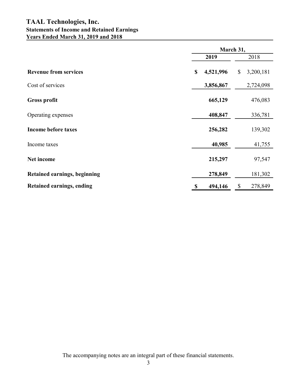## TAAL Technologies, Inc. Statements of Income and Retained Earnings Years Ended March 31, 2019 and 2018

|                                  | March 31, |           |              |           |
|----------------------------------|-----------|-----------|--------------|-----------|
|                                  |           | 2019      |              | 2018      |
| <b>Revenue from services</b>     | \$        | 4,521,996 | $\mathbb{S}$ | 3,200,181 |
| Cost of services                 |           | 3,856,867 |              | 2,724,098 |
| <b>Gross profit</b>              |           | 665,129   |              | 476,083   |
| Operating expenses               |           | 408,847   |              | 336,781   |
| <b>Income before taxes</b>       |           | 256,282   |              | 139,302   |
| Income taxes                     |           | 40,985    |              | 41,755    |
| Net income                       |           | 215,297   |              | 97,547    |
| Retained earnings, beginning     |           | 278,849   |              | 181,302   |
| <b>Retained earnings, ending</b> | \$        | 494,146   | \$           | 278,849   |

The accompanying notes are an integral part of these financial statements.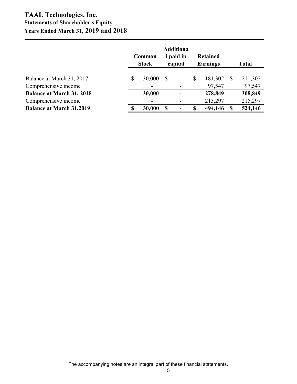## TAAL Technologies, Inc. Statements of Shareholder's Equity Years Ended March 31, 2019 and 2018

|                                                          | Common<br><b>Stock</b> |              | <b>Additiona</b><br>I paid in<br>capital | <b>Retained</b><br><b>Earnings</b> |    | <b>Total</b>       |
|----------------------------------------------------------|------------------------|--------------|------------------------------------------|------------------------------------|----|--------------------|
| Balance at March 31, 2017<br>Comprehensive income        | \$<br>30,000           | <sup>S</sup> | $\overline{a}$                           | \$<br>181,302<br>97,547            | -S | 211,302<br>97,547  |
| <b>Balance at March 31, 2018</b><br>Comprehensive income | 30,000                 |              | $\blacksquare$                           | 278,849<br>215,297                 |    | 308,849<br>215,297 |
| <b>Balance at March 31,2019</b>                          | 30,000                 | \$           | ٠                                        | 494,146                            | S  | 524,146            |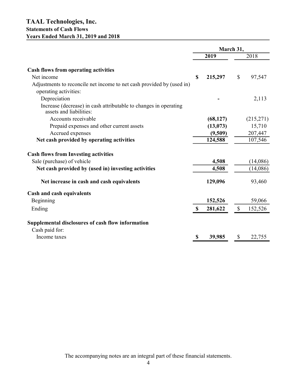|                                                                                             | March 31,                 |           |              |           |
|---------------------------------------------------------------------------------------------|---------------------------|-----------|--------------|-----------|
|                                                                                             |                           | 2019      |              | 2018      |
| <b>Cash flows from operating activities</b>                                                 |                           |           |              |           |
| Net income                                                                                  | \$                        | 215,297   | $\mathbb{S}$ | 97,547    |
| Adjustments to reconcile net income to net cash provided by (used in)                       |                           |           |              |           |
| operating activities:                                                                       |                           |           |              |           |
| Depreciation                                                                                |                           |           |              | 2,113     |
| Increase (decrease) in cash attributable to changes in operating<br>assets and liabilities: |                           |           |              |           |
| Accounts receivable                                                                         |                           | (68, 127) |              | (215,271) |
| Prepaid expenses and other current assets                                                   |                           | (13, 073) |              | 15,710    |
| Accrued expenses                                                                            |                           | (9,509)   |              | 207,447   |
| Net cash provided by operating activities                                                   |                           | 124,588   |              | 107,546   |
| <b>Cash flows from Investing activities</b>                                                 |                           |           |              |           |
| Sale (purchase) of vehicle                                                                  |                           | 4,508     |              | (14,086)  |
| Net cash provided by (used in) investing activities                                         |                           | 4,508     |              | (14,086)  |
| Net increase in cash and cash equivalents                                                   |                           | 129,096   |              | 93,460    |
| Cash and cash equivalents                                                                   |                           |           |              |           |
| Beginning                                                                                   |                           | 152,526   |              | 59,066    |
| Ending                                                                                      | $\boldsymbol{\mathsf{S}}$ | 281,622   | $\mathbb{S}$ | 152,526   |
| Supplemental disclosures of cash flow information                                           |                           |           |              |           |
| Cash paid for:                                                                              |                           |           |              |           |
| Income taxes                                                                                | \$                        | 39,985    | \$           | 22,755    |

The accompanying notes are an integral part of these financial statements.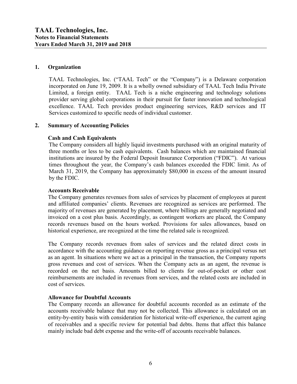#### 1. Organization

TAAL Technologies, Inc. ("TAAL Tech" or the "Company") is a Delaware corporation incorporated on June 19, 2009. It is a wholly owned subsidiary of TAAL Tech India Private Limited, a foreign entity. TAAL Tech is a niche engineering and technology solutions provider serving global corporations in their pursuit for faster innovation and technological excellence. TAAL Tech provides product engineering services, R&D services and IT Services customized to specific needs of individual customer.

#### 2. Summary of Accounting Policies

#### Cash and Cash Equivalents

The Company considers all highly liquid investments purchased with an original maturity of three months or less to be cash equivalents. Cash balances which are maintained financial institutions are insured by the Federal Deposit Insurance Corporation ("FDIC"). At various times throughout the year, the Company's cash balances exceeded the FDIC limit. As of March 31, 2019, the Company has approximately \$80,000 in excess of the amount insured by the FDIC.

#### Accounts Receivable

The Company generates revenues from sales of services by placement of employees at parent and affiliated companies' clients. Revenues are recognized as services are performed. The majority of revenues are generated by placement, where billings are generally negotiated and invoiced on a cost plus basis. Accordingly, as contingent workers are placed, the Company records revenues based on the hours worked. Provisions for sales allowances, based on historical experience, are recognized at the time the related sale is recognized.

The Company records revenues from sales of services and the related direct costs in accordance with the accounting guidance on reporting revenue gross as a principal versus net as an agent. In situations where we act as a principal in the transaction, the Company reports gross revenues and cost of services. When the Company acts as an agent, the revenue is recorded on the net basis. Amounts billed to clients for out-of-pocket or other cost reimbursements are included in revenues from services, and the related costs are included in cost of services.

#### Allowance for Doubtful Accounts

The Company records an allowance for doubtful accounts recorded as an estimate of the accounts receivable balance that may not be collected. This allowance is calculated on an entity-by-entity basis with consideration for historical write-off experience, the current aging of receivables and a specific review for potential bad debts. Items that affect this balance mainly include bad debt expense and the write-off of accounts receivable balances.